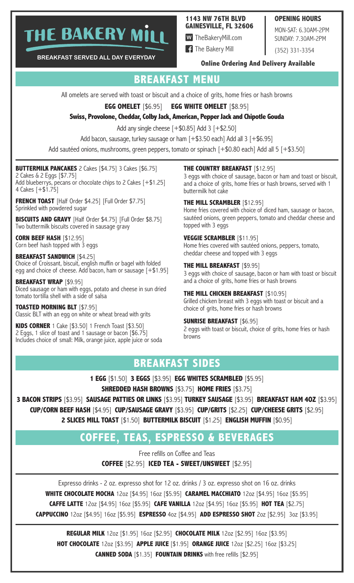# THE BAKERY MILI

#### **1143 NW 76TH BLVD GAINESVILLE, FL 32606**

**W** TheBakeryMill.com

**1** The Bakery Mill

MON-SAT: 6.30AM-2PM SUNDAY: 7.30AM-2PM

**OPENING HOURS** 

(352) 331-3354

BREAKFAST SERVED ALL DAY EVERYDAY

#### **Online Ordering And Delivery Available**

# **BREAKFAST MENU**

All omelets are served with toast or biscuit and a choice of grits, home fries or hash browns

**EGG OMELET** [\$6.95] **EGG WHITE OMELET [\$8.95]** 

#### Swiss, Provolone, Cheddar, Colby Jack, American, Pepper Jack and Chipotle Gouda

Add any single cheese  $[+ $0.85]$  Add 3  $[+ $2.50]$ 

Add bacon, sausage, turkey sausage or ham [+\$3.50 each] Add all 3 [+\$6.95]

Add sautéed onions, mushrooms, green peppers, tomato or spinach [+\$0.80 each] Add all 5 [+\$3.50]

#### **BUTTERMILK PANCAKES** 2 Cakes [\$4.75] 3 Cakes [\$6.75]

2 Cakes & 2 Eggs [\$7.75] Add blueberrys, pecans or chocolate chips to 2 Cakes [+\$1.25]<br>4 Cakes [+\$1.75]

**FRENCH TOAST** [Half Order \$4.25] [Full Order \$7.75] Sprinkled with powdered sugar

**BISCUITS AND GRAVY** [Half Order \$4.75] [Full Order \$8.75] Two buttermilk biscuits covered in sausage gravy

**CORN BEEF HASH [\$12.95]** Corn beef hash topped with 3 eggs

**BREAKFAST SANDWICH [\$4.25]** Choice of Croissant, biscuit, english muffin or bagel with folded egg and choice of cheese. Add bacon, ham or sausage [+\$1.95]

**BREAKFAST WRAP [\$9.95]** Diced sausage or ham with eggs, potato and cheese in sun dried tomato tortilla shell with a side of salsa

**TOASTED MORNING BLT [\$7.95]** Classic BLT with an egg on white or wheat bread with grits

KIDS CORNER 1 Cake [\$3.50] 1 French Toast [\$3.50] 2 Eggs, 1 slice of toast and 1 sausage or bacon [\$6.75] Includes choice of small: Milk, orange juice, apple juice or soda **THE COUNTRY BREAKFAST [\$12.95]** 

3 eggs with choice of sausage, bacon or ham and toast or biscuit, and a choice of grits, home fries or hash browns, served with 1 buttermilk hot cake

#### **THE MILL SCRAMBLER [\$12.95]**

Home fries covered with choice of diced ham, sausage or bacon, sautéed onions, green peppers, tomato and cheddar cheese and topped with 3 eggs

#### **VEGGIE SCRAMBLER [\$11.95]**

Home fries covered with sautéed onions, peppers, tomato, cheddar cheese and topped with 3 eggs

#### **THE MILL BREAKFAST [\$9.95]**

3 eggs with choice of sausage, bacon or ham with toast or biscuit and a choice of grits, home fries or hash browns

#### **THE MILL CHICKEN BREAKFAST [\$10.95]**

Grilled chicken breast with 3 eggs with toast or biscuit and a choice of grits, home fries or hash browns

#### **SUNRISE BREAKFAST [\$6.95]**

2 eggs with toast or biscuit, choice of grits, home fries or hash browns

# **BREAKFAST SIDES**

1 EGG [\$1.50] 3 EGGS [\$3.95] EGG WHITES SCRAMBLED [\$5.95]

**SHREDDED HASH BROWNS [\$3.75] HOME FRIES [\$3.75]** 

3 BACON STRIPS [\$3.95] SAUSAGE PATTIES OR LINKS [\$3.95] TURKEY SAUSAGE [\$3.95] BREAKFAST HAM 40Z [\$3.95] CUP/CORN BEEF HASH [\$4.95] CUP/SAUSAGE GRAVY [\$3.95] CUP/GRITS [\$2.25] CUP/CHEESE GRITS [\$2.95] 2 SLICES MILL TOAST [\$1.50] BUTTERMILK BISCUIT [\$1.25] ENGLISH MUFFIN [\$0.95]

# **COFFEE. TEAS. ESPRESSO & BEVERAGES**

Free refills on Coffee and Teas COFFEE [\$2.95] ICED TEA - SWEET/UNSWEET [\$2.95]

Expresso drinks - 2 oz. expresso shot for 12 oz. drinks / 3 oz. expresso shot on 16 oz. drinks **WHITE CHOCOLATE MOCHA 12oz [\$4.95] 16oz [\$5.95] CARAMEL MACCHIATO 12oz [\$4.95] 16oz [\$5.95] CAFFE LATTE** 12oz [\$4.95] 16oz [\$5.95] **CAFE VANILLA** 12oz [\$4.95] 16oz [\$5.95] HOT TEA [\$2.75] CAPPUCCINO 12oz [\$4.95] 16oz [\$5.95] ESPRESSO 4oz [\$4.95] ADD ESPRESSO SHOT 2oz [\$2.95] 3oz [\$3.95]

**REGULAR MILK** 12oz [\$1.95] 16oz [\$2.95] **CHOCOLATE MILK** 12oz [\$2.95] 16oz [\$3.95] HOT CHOCOLATE 12oz [\$3.95] APPLE JUICE [\$1.95] ORANGE JUICE 12oz [\$2.25] 16oz [\$3.25] **CANNED SODA** [\$1.35] **FOUNTAIN DRINKS** with free refills [\$2.95]